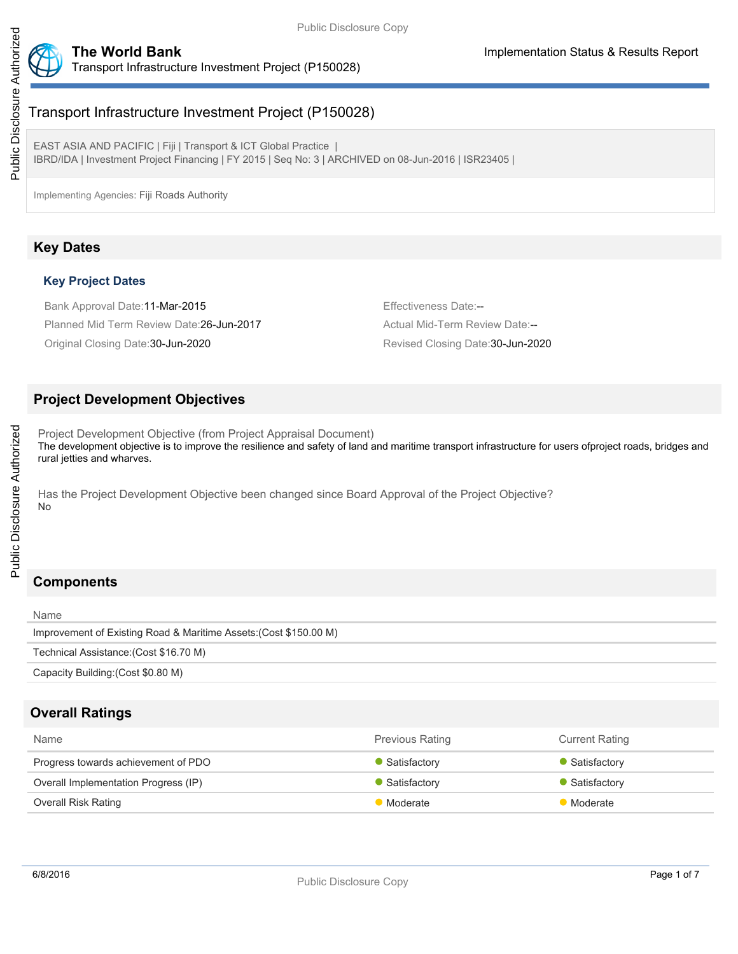

# Transport Infrastructure Investment Project (P150028)

EAST ASIA AND PACIFIC | Fiji | Transport & ICT Global Practice | IBRD/IDA | Investment Project Financing | FY 2015 | Seq No: 3 | ARCHIVED on 08-Jun-2016 | ISR23405 |

Implementing Agencies: Fiji Roads Authority

## **Key Dates**

## **Key Project Dates**

Bank Approval Date:11-Mar-2015 **Effectiveness Date:--**Planned Mid Term Review Date:26-Jun-2017 Actual Mid-Term Review Date:--Original Closing Date:30-Jun-2020 Revised Closing Date:30-Jun-2020

## **Project Development Objectives**

Project Development Objective (from Project Appraisal Document) The development objective is to improve the resilience and safety of land and maritime transport infrastructure for users ofproject roads, bridges and rural jetties and wharves.

Has the Project Development Objective been changed since Board Approval of the Project Objective? No

# **Components**

| Name                                                              |
|-------------------------------------------------------------------|
| Improvement of Existing Road & Maritime Assets: (Cost \$150.00 M) |
| Technical Assistance: (Cost \$16.70 M)                            |
| Capacity Building: (Cost \$0.80 M)                                |

## **Overall Ratings**

| <b>Name</b>                          | <b>Previous Rating</b> | <b>Current Rating</b>       |
|--------------------------------------|------------------------|-----------------------------|
| Progress towards achievement of PDO  | Satisfactory           | Satisfactory                |
| Overall Implementation Progress (IP) | Satisfactory           | $\blacksquare$ Satisfactory |
| <b>Overall Risk Rating</b>           | Moderate               | <b>Moderate</b>             |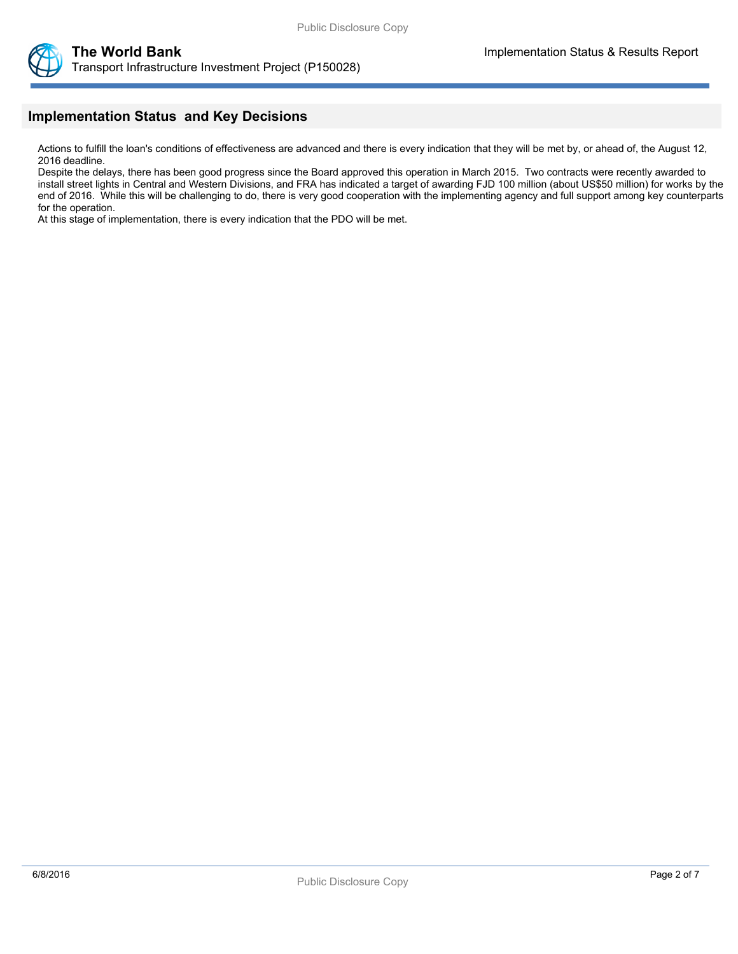



## **Implementation Status and Key Decisions**

Actions to fulfill the loan's conditions of effectiveness are advanced and there is every indication that they will be met by, or ahead of, the August 12, 2016 deadline.

Despite the delays, there has been good progress since the Board approved this operation in March 2015. Two contracts were recently awarded to install street lights in Central and Western Divisions, and FRA has indicated a target of awarding FJD 100 million (about US\$50 million) for works by the end of 2016. While this will be challenging to do, there is very good cooperation with the implementing agency and full support among key counterparts for the operation.

At this stage of implementation, there is every indication that the PDO will be met.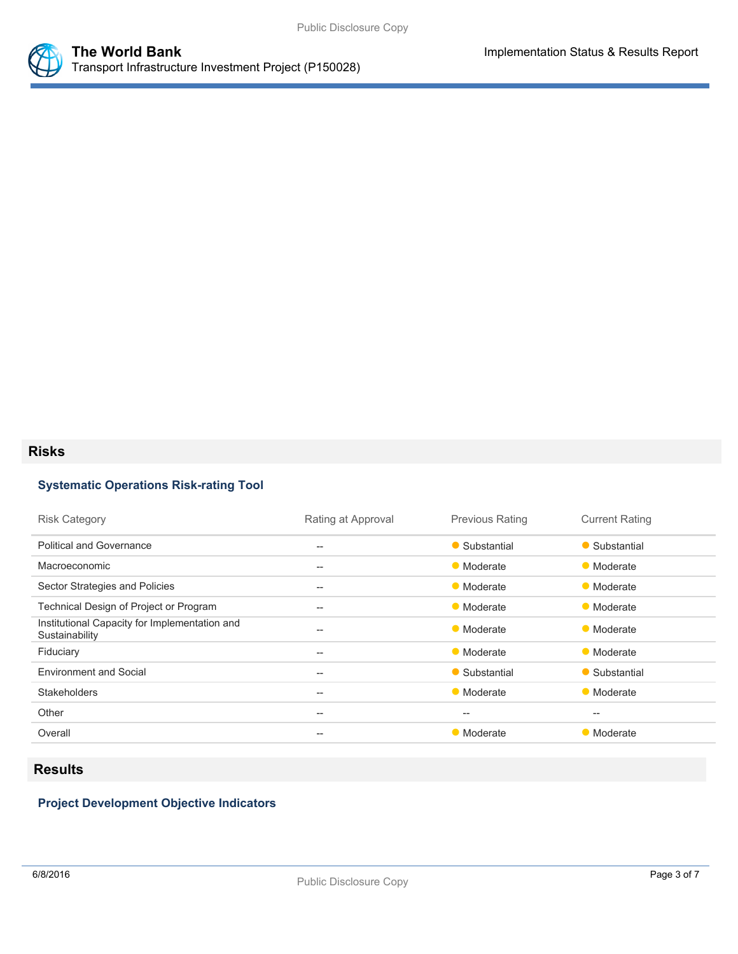

### **Risks**

## **Systematic Operations Risk-rating Tool**

| <b>Risk Category</b>                                            | Rating at Approval | <b>Previous Rating</b>                              | <b>Current Rating</b> |
|-----------------------------------------------------------------|--------------------|-----------------------------------------------------|-----------------------|
| <b>Political and Governance</b>                                 | $- -$              | • Substantial                                       | • Substantial         |
| Macroeconomic                                                   | $- -$              | • Moderate                                          | • Moderate            |
| Sector Strategies and Policies                                  | $- -$              | • Moderate                                          | • Moderate            |
| Technical Design of Project or Program                          | $- -$              | • Moderate                                          | • Moderate            |
| Institutional Capacity for Implementation and<br>Sustainability | --                 | • Moderate                                          | • Moderate            |
| Fiduciary                                                       | $- -$              | • Moderate                                          | • Moderate            |
| <b>Environment and Social</b>                                   | $\qquad \qquad -$  | • Substantial                                       | • Substantial         |
| <b>Stakeholders</b>                                             | --                 | • Moderate                                          | • Moderate            |
| Other                                                           | $- -$              | $\hspace{0.05cm} -\hspace{0.05cm} -\hspace{0.05cm}$ | $- -$                 |
| Overall                                                         | $- -$              | • Moderate                                          | • Moderate            |
|                                                                 |                    |                                                     |                       |

# **Results**

## **Project Development Objective Indicators**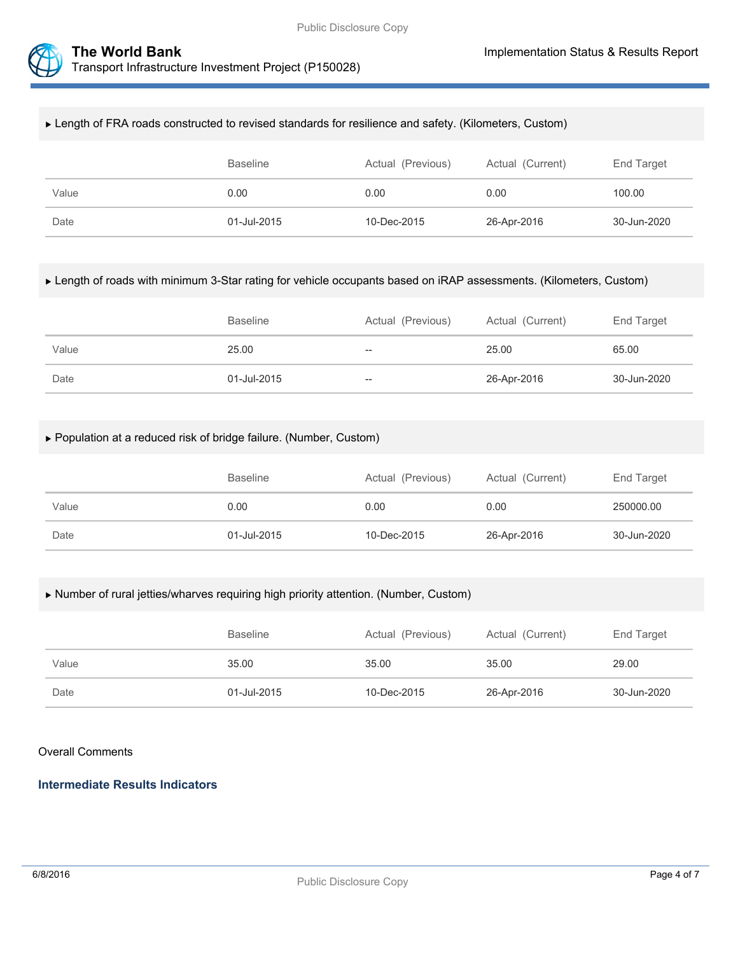



#### Length of FRA roads constructed to revised standards for resilience and safety. (Kilometers, Custom)

|       | Baseline    | Actual (Previous) | Actual (Current) | End Target  |
|-------|-------------|-------------------|------------------|-------------|
| Value | 0.00        | 0.00              | 0.00             | 100.00      |
| Date  | 01-Jul-2015 | 10-Dec-2015       | 26-Apr-2016      | 30-Jun-2020 |

#### Length of roads with minimum 3-Star rating for vehicle occupants based on iRAP assessments. (Kilometers, Custom)

|       | <b>Baseline</b> | Actual (Previous) | Actual (Current) | End Target  |
|-------|-----------------|-------------------|------------------|-------------|
| Value | 25.00           | $- -$             | 25.00            | 65.00       |
| Date  | 01-Jul-2015     | --                | 26-Apr-2016      | 30-Jun-2020 |

### Population at a reduced risk of bridge failure. (Number, Custom)

|       | <b>Baseline</b> | Actual (Previous) | Actual (Current) | End Target  |
|-------|-----------------|-------------------|------------------|-------------|
| Value | 0.00            | 0.00              | 0.00             | 250000.00   |
| Date  | 01-Jul-2015     | 10-Dec-2015       | 26-Apr-2016      | 30-Jun-2020 |

#### Number of rural jetties/wharves requiring high priority attention. (Number, Custom)

|       | <b>Baseline</b> | Actual (Previous) | Actual (Current) | End Target  |
|-------|-----------------|-------------------|------------------|-------------|
| Value | 35.00           | 35.00             | 35.00            | 29.00       |
| Date  | 01-Jul-2015     | 10-Dec-2015       | 26-Apr-2016      | 30-Jun-2020 |

#### Overall Comments

## **Intermediate Results Indicators**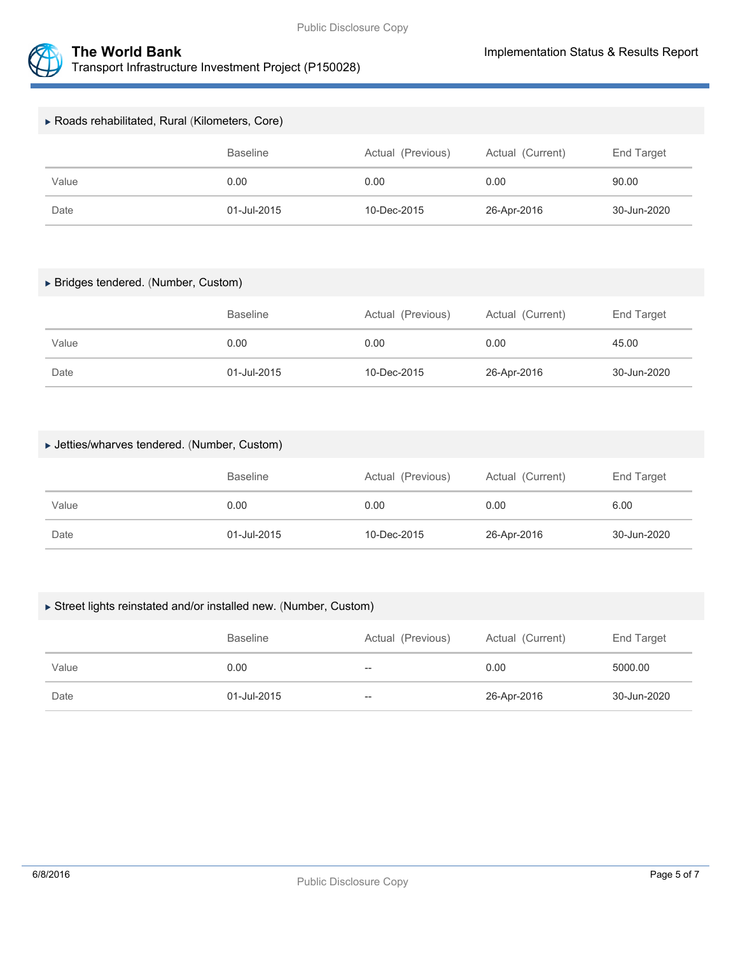



| ▶ Roads rehabilitated, Rural (Kilometers, Core) |                 |                   |                  |             |  |
|-------------------------------------------------|-----------------|-------------------|------------------|-------------|--|
|                                                 | <b>Baseline</b> | Actual (Previous) | Actual (Current) | End Target  |  |
| Value                                           | 0.00            | 0.00              | 0.00             | 90.00       |  |
| Date                                            | 01-Jul-2015     | 10-Dec-2015       | 26-Apr-2016      | 30-Jun-2020 |  |

### Bridges tendered. (Number, Custom)

|       | <b>Baseline</b> | Actual (Previous) | Actual (Current) | End Target  |
|-------|-----------------|-------------------|------------------|-------------|
| Value | 0.00            | 0.00              | 0.00             | 45.00       |
| Date  | 01-Jul-2015     | 10-Dec-2015       | 26-Apr-2016      | 30-Jun-2020 |

### Jetties/wharves tendered. (Number, Custom)

|       | <b>Baseline</b> | Actual (Previous) | Actual (Current) | End Target  |
|-------|-----------------|-------------------|------------------|-------------|
| Value | 0.00            | 0.00              | 0.00             | 6.00        |
| Date  | 01-Jul-2015     | 10-Dec-2015       | 26-Apr-2016      | 30-Jun-2020 |

#### Street lights reinstated and/or installed new. (Number, Custom)

|       | <b>Baseline</b> | Actual (Previous) | Actual (Current) | End Target  |
|-------|-----------------|-------------------|------------------|-------------|
| Value | 0.00            | $- -$             | 0.00             | 5000.00     |
| Date  | 01-Jul-2015     | $-\!$             | 26-Apr-2016      | 30-Jun-2020 |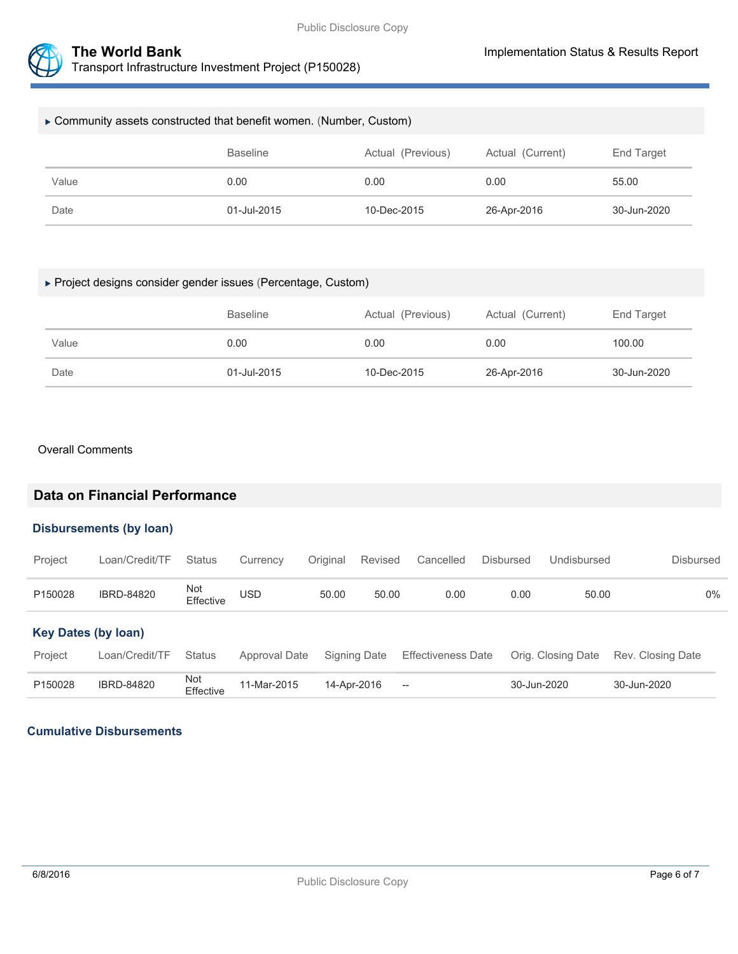

| ► Community assets constructed that benefit women. (Number, Custom) |                 |                   |                  |             |  |
|---------------------------------------------------------------------|-----------------|-------------------|------------------|-------------|--|
|                                                                     | <b>Baseline</b> | Actual (Previous) | Actual (Current) | End Target  |  |
| Value                                                               | 0.00            | 0.00              | 0.00             | 55.00       |  |
| Date                                                                | 01-Jul-2015     | 10-Dec-2015       | 26-Apr-2016      | 30-Jun-2020 |  |

### Project designs consider gender issues (Percentage, Custom)

|       | <b>Baseline</b> | Actual (Previous) | Actual (Current) | End Target  |
|-------|-----------------|-------------------|------------------|-------------|
| Value | 0.00            | 0.00              | 0.00             | 100.00      |
| Date  | 01-Jul-2015     | 10-Dec-2015       | 26-Apr-2016      | 30-Jun-2020 |

#### Overall Comments

## **Data on Financial Performance**

#### **Disbursements (by loan)**

| Project                    | Loan/Credit/TF    | <b>Status</b>    | Currency      | Original    | Revised      | Cancelled                 | <b>Disbursed</b> | Undisbursed        | Disbursed         |
|----------------------------|-------------------|------------------|---------------|-------------|--------------|---------------------------|------------------|--------------------|-------------------|
| P150028                    | <b>IBRD-84820</b> | Not<br>Effective | USD           | 50.00       | 50.00        | 0.00                      | 0.00             | 50.00              | $0\%$             |
| <b>Key Dates (by loan)</b> |                   |                  |               |             |              |                           |                  |                    |                   |
| Project                    | Loan/Credit/TF    | <b>Status</b>    | Approval Date |             | Signing Date | <b>Effectiveness Date</b> |                  | Orig. Closing Date | Rev. Closing Date |
| P150028                    | <b>IBRD-84820</b> | Not<br>Effective | 11-Mar-2015   | 14-Apr-2016 |              | $\hspace{0.05cm}$         |                  | 30-Jun-2020        | 30-Jun-2020       |

### **Cumulative Disbursements**